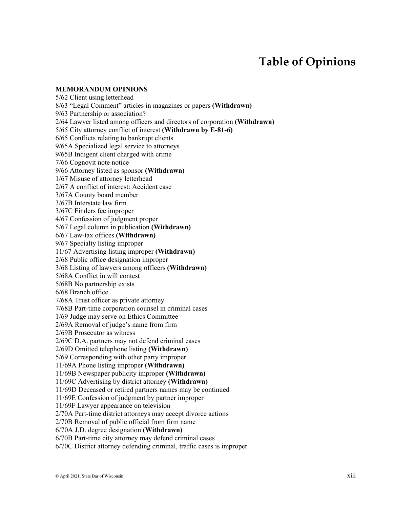#### **MEMORANDUM OPINIONS**

5/62 Client using letterhead 8/63 "Legal Comment" articles in magazines or papers **(Withdrawn)** 9/63 Partnership or association? 2/64 Lawyer listed among officers and directors of corporation **(Withdrawn)** 5/65 City attorney conflict of interest **(Withdrawn by E-81-6)** 6/65 Conflicts relating to bankrupt clients 9/65A Specialized legal service to attorneys 9/65B Indigent client charged with crime 7/66 Cognovit note notice 9/66 Attorney listed as sponsor **(Withdrawn)** 1/67 Misuse of attorney letterhead 2/67 A conflict of interest: Accident case 3/67A County board member 3/67B Interstate law firm 3/67C Finders fee improper 4/67 Confession of judgment proper 5/67 Legal column in publication **(Withdrawn)** 6/67 Law-tax offices **(Withdrawn)** 9/67 Specialty listing improper 11/67 Advertising listing improper **(Withdrawn)** 2/68 Public office designation improper 3/68 Listing of lawyers among officers **(Withdrawn)** 5/68A Conflict in will contest 5/68B No partnership exists 6/68 Branch office 7/68A Trust officer as private attorney 7/68B Part-time corporation counsel in criminal cases 1/69 Judge may serve on Ethics Committee 2/69A Removal of judge's name from firm 2/69B Prosecutor as witness 2/69C D.A. partners may not defend criminal cases 2/69D Omitted telephone listing **(Withdrawn)** 5/69 Corresponding with other party improper 11/69A Phone listing improper **(Withdrawn)** 11/69B Newspaper publicity improper **(Withdrawn)** 11/69C Advertising by district attorney **(Withdrawn)** 11/69D Deceased or retired partners names may be continued 11/69E Confession of judgment by partner improper 11/69F Lawyer appearance on television 2/70A Part-time district attorneys may accept divorce actions 2/70B Removal of public official from firm name 6/70A J.D. degree designation **(Withdrawn)** 6/70B Part-time city attorney may defend criminal cases

6/70C District attorney defending criminal, traffic cases is improper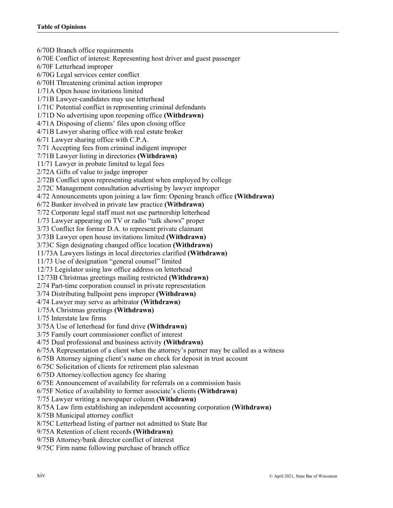6/70D Branch office requirements 6/70E Conflict of interest: Representing host driver and guest passenger 6/70F Letterhead improper 6/70G Legal services center conflict 6/70H Threatening criminal action improper 1/71A Open house invitations limited 1/71B Lawyer-candidates may use letterhead 1/71C Potential conflict in representing criminal defendants 1/71D No advertising upon reopening office **(Withdrawn)** 4/71A Disposing of clients' files upon closing office 4/71B Lawyer sharing office with real estate broker 6/71 Lawyer sharing office with C.P.A. 7/71 Accepting fees from criminal indigent improper 7/71B Lawyer listing in directories **(Withdrawn)** 11/71 Lawyer in probate limited to legal fees 2/72A Gifts of value to judge improper 2/72B Conflict upon representing student when employed by college 2/72C Management consultation advertising by lawyer improper 4/72 Announcements upon joining a law firm: Opening branch office **(Withdrawn)** 6/72 Banker involved in private law practice **(Withdrawn)** 7/72 Corporate legal staff must not use partnership letterhead 1/73 Lawyer appearing on TV or radio "talk shows" proper 3/73 Conflict for former D.A. to represent private claimant 3/73B Lawyer open house invitations limited **(Withdrawn)** 3/73C Sign designating changed office location **(Withdrawn)** 11/73A Lawyers listings in local directories clarified **(Withdrawn)** 11/73 Use of designation "general counsel" limited 12/73 Legislator using law office address on letterhead 12/73B Christmas greetings mailing restricted **(Withdrawn)** 2/74 Part-time corporation counsel in private representation 3/74 Distributing ballpoint pens improper **(Withdrawn)** 4/74 Lawyer may serve as arbitrator **(Withdrawn)** 1/75A Christmas greetings **(Withdrawn)** 1/75 Interstate law firms 3/75A Use of letterhead for fund drive **(Withdrawn)** 3/75 Family court commissioner conflict of interest 4/75 Dual professional and business activity **(Withdrawn)** 6/75A Representation of a client when the attorney's partner may be called as a witness 6/75B Attorney signing client's name on check for deposit in trust account 6/75C Solicitation of clients for retirement plan salesman 6/75D Attorney/collection agency fee sharing 6/75E Announcement of availability for referrals on a commission basis 6/75F Notice of availability to former associate's clients **(Withdrawn)** 7/75 Lawyer writing a newspaper column **(Withdrawn)** 8/75A Law firm establishing an independent accounting corporation **(Withdrawn)** 8/75B Municipal attorney conflict 8/75C Letterhead listing of partner not admitted to State Bar 9/75A Retention of client records **(Withdrawn)** 9/75B Attorney/bank director conflict of interest 9/75C Firm name following purchase of branch office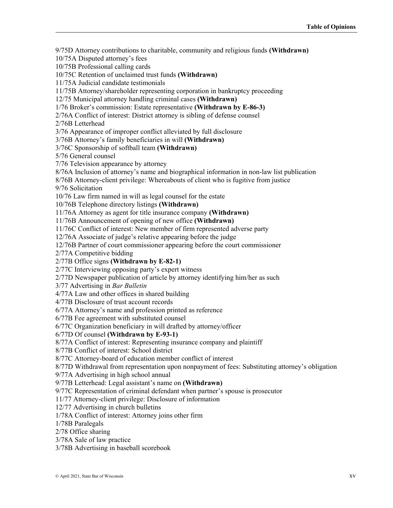9/75D Attorney contributions to charitable, community and religious funds **(Withdrawn)** 10/75A Disputed attorney's fees 10/75B Professional calling cards 10/75C Retention of unclaimed trust funds **(Withdrawn)** 11/75A Judicial candidate testimonials 11/75B Attorney/shareholder representing corporation in bankruptcy proceeding 12/75 Municipal attorney handling criminal cases **(Withdrawn)** 1/76 Broker's commission: Estate representative **(Withdrawn by E-86-3)** 2/76A Conflict of interest: District attorney is sibling of defense counsel 2/76B Letterhead 3/76 Appearance of improper conflict alleviated by full disclosure 3/76B Attorney's family beneficiaries in will **(Withdrawn)** 3/76C Sponsorship of softball team **(Withdrawn)** 5/76 General counsel 7/76 Television appearance by attorney 8/76A Inclusion of attorney's name and biographical information in non-law list publication 8/76B Attorney-client privilege: Whereabouts of client who is fugitive from justice 9/76 Solicitation 10/76 Law firm named in will as legal counsel for the estate 10/76B Telephone directory listings **(Withdrawn)** 11/76A Attorney as agent for title insurance company **(Withdrawn)** 11/76B Announcement of opening of new office **(Withdrawn)** 11/76C Conflict of interest: New member of firm represented adverse party 12/76A Associate of judge's relative appearing before the judge 12/76B Partner of court commissioner appearing before the court commissioner 2/77A Competitive bidding 2/77B Office signs **(Withdrawn by E-82-1)** 2/77C Interviewing opposing party's expert witness 2/77D Newspaper publication of article by attorney identifying him/her as such 3/77 Advertising in *Bar Bulletin* 4/77A Law and other offices in shared building 4/77B Disclosure of trust account records 6/77A Attorney's name and profession printed as reference 6/77B Fee agreement with substituted counsel 6/77C Organization beneficiary in will drafted by attorney/officer 6/77D Of counsel **(Withdrawn by E-93-1)** 8/77A Conflict of interest: Representing insurance company and plaintiff 8/77B Conflict of interest: School district 8/77C Attorney-board of education member conflict of interest 8/77D Withdrawal from representation upon nonpayment of fees: Substituting attorney's obligation 9/77A Advertising in high school annual 9/77B Letterhead: Legal assistant's name on **(Withdrawn)** 9/77C Representation of criminal defendant when partner's spouse is prosecutor 11/77 Attorney-client privilege: Disclosure of information 12/77 Advertising in church bulletins 1/78A Conflict of interest: Attorney joins other firm 1/78B Paralegals 2/78 Office sharing 3/78A Sale of law practice 3/78B Advertising in baseball scorebook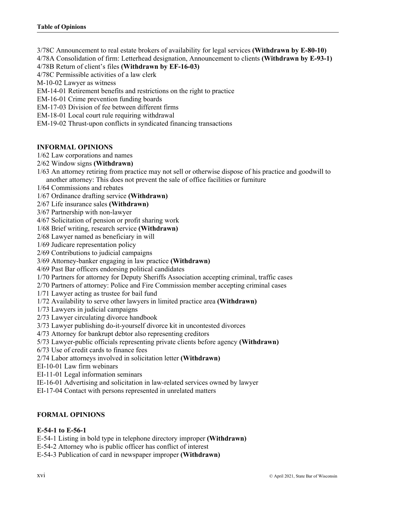- 3/78C Announcement to real estate brokers of availability for legal services **(Withdrawn by E-80-10)**
- 4/78A Consolidation of firm: Letterhead designation, Announcement to clients **(Withdrawn by E-93-1)**
- 4/78B Return of client's files **(Withdrawn by EF-16-03)**
- 4/78C Permissible activities of a law clerk
- M-10-02 Lawyer as witness
- EM-14-01 Retirement benefits and restrictions on the right to practice
- EM-16-01 Crime prevention funding boards
- EM-17-03 Division of fee between different firms
- EM-18-01 Local court rule requiring withdrawal
- EM-19-02 Thrust-upon conflicts in syndicated financing transactions

## **INFORMAL OPINIONS**

- 1/62 Law corporations and names
- 2/62 Window signs **(Withdrawn)**
- 1/63 An attorney retiring from practice may not sell or otherwise dispose of his practice and goodwill to another attorney: This does not prevent the sale of office facilities or furniture
- 1/64 Commissions and rebates
- 1/67 Ordinance drafting service **(Withdrawn)**
- 2/67 Life insurance sales **(Withdrawn)**
- 3/67 Partnership with non-lawyer
- 4/67 Solicitation of pension or profit sharing work
- 1/68 Brief writing, research service **(Withdrawn)**
- 2/68 Lawyer named as beneficiary in will
- 1/69 Judicare representation policy
- 2/69 Contributions to judicial campaigns
- 3/69 Attorney-banker engaging in law practice **(Withdrawn)**
- 4/69 Past Bar officers endorsing political candidates
- 1/70 Partners for attorney for Deputy Sheriffs Association accepting criminal, traffic cases
- 2/70 Partners of attorney: Police and Fire Commission member accepting criminal cases
- 1/71 Lawyer acting as trustee for bail fund
- 1/72 Availability to serve other lawyers in limited practice area **(Withdrawn)**
- 1/73 Lawyers in judicial campaigns
- 2/73 Lawyer circulating divorce handbook
- 3/73 Lawyer publishing do-it-yourself divorce kit in uncontested divorces
- 4/73 Attorney for bankrupt debtor also representing creditors
- 5/73 Lawyer-public officials representing private clients before agency **(Withdrawn)**
- 6/73 Use of credit cards to finance fees
- 2/74 Labor attorneys involved in solicitation letter **(Withdrawn)**
- EI-10-01 Law firm webinars
- EI-11-01 Legal information seminars
- IE-16-01 Advertising and solicitation in law-related services owned by lawyer
- EI-17-04 Contact with persons represented in unrelated matters

# **FORMAL OPINIONS**

### **E-54-1 to E-56-1**

- E-54-1 Listing in bold type in telephone directory improper **(Withdrawn)**
- E-54-2 Attorney who is public officer has conflict of interest
- E-54-3 Publication of card in newspaper improper **(Withdrawn)**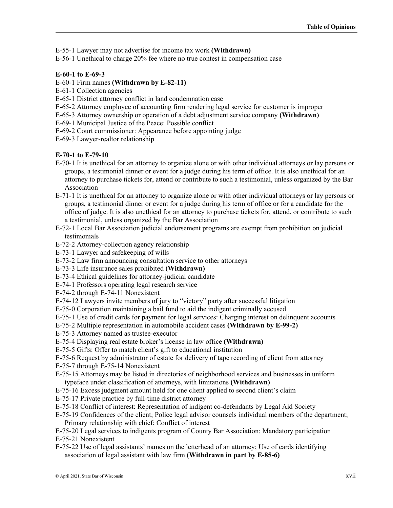E-55-1 Lawyer may not advertise for income tax work **(Withdrawn)**

E-56-1 Unethical to charge 20% fee where no true contest in compensation case

#### **E-60-1 to E-69-3**

- E-60-1 Firm names **(Withdrawn by E-82-11)**
- E-61-1 Collection agencies
- E-65-1 District attorney conflict in land condemnation case
- E-65-2 Attorney employee of accounting firm rendering legal service for customer is improper
- E-65-3 Attorney ownership or operation of a debt adjustment service company **(Withdrawn)**
- E-69-1 Municipal Justice of the Peace: Possible conflict
- E-69-2 Court commissioner: Appearance before appointing judge
- E-69-3 Lawyer-realtor relationship

## **E-70-1 to E-79-10**

- E-70-1 It is unethical for an attorney to organize alone or with other individual attorneys or lay persons or groups, a testimonial dinner or event for a judge during his term of office. It is also unethical for an attorney to purchase tickets for, attend or contribute to such a testimonial, unless organized by the Bar Association
- E-71-1 It is unethical for an attorney to organize alone or with other individual attorneys or lay persons or groups, a testimonial dinner or event for a judge during his term of office or for a candidate for the office of judge. It is also unethical for an attorney to purchase tickets for, attend, or contribute to such a testimonial, unless organized by the Bar Association
- E-72-1 Local Bar Association judicial endorsement programs are exempt from prohibition on judicial testimonials
- E-72-2 Attorney-collection agency relationship
- E-73-1 Lawyer and safekeeping of wills
- E-73-2 Law firm announcing consultation service to other attorneys
- E-73-3 Life insurance sales prohibited **(Withdrawn)**
- E-73-4 Ethical guidelines for attorney-judicial candidate
- E-74-1 Professors operating legal research service
- E-74-2 through E-74-11 Nonexistent
- E-74-12 Lawyers invite members of jury to "victory" party after successful litigation
- E-75-0 Corporation maintaining a bail fund to aid the indigent criminally accused
- E-75-1 Use of credit cards for payment for legal services: Charging interest on delinquent accounts
- E-75-2 Multiple representation in automobile accident cases **(Withdrawn by E-99-2)**
- E-75-3 Attorney named as trustee-executor
- E-75-4 Displaying real estate broker's license in law office **(Withdrawn)**
- E-75-5 Gifts: Offer to match client's gift to educational institution
- E-75-6 Request by administrator of estate for delivery of tape recording of client from attorney
- E-75-7 through E-75-14 Nonexistent
- E-75-15 Attorneys may be listed in directories of neighborhood services and businesses in uniform typeface under classification of attorneys, with limitations **(Withdrawn)**
- E-75-16 Excess judgment amount held for one client applied to second client's claim
- E-75-17 Private practice by full-time district attorney
- E-75-18 Conflict of interest: Representation of indigent co-defendants by Legal Aid Society
- E-75-19 Confidences of the client; Police legal advisor counsels individual members of the department; Primary relationship with chief; Conflict of interest
- E-75-20 Legal services to indigents program of County Bar Association: Mandatory participation
- E-75-21 Nonexistent
- E-75-22 Use of legal assistants' names on the letterhead of an attorney; Use of cards identifying association of legal assistant with law firm **(Withdrawn in part by E-85-6)**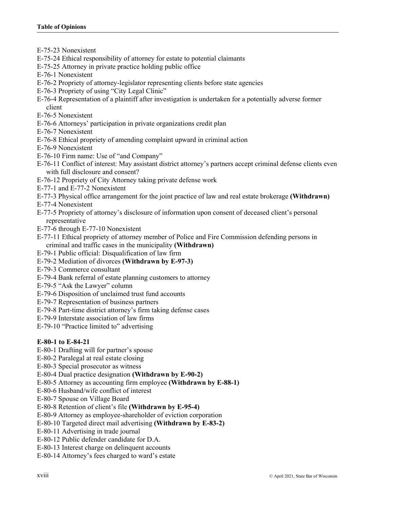E-75-23 Nonexistent

- E-75-24 Ethical responsibility of attorney for estate to potential claimants
- E-75-25 Attorney in private practice holding public office
- E-76-1 Nonexistent
- E-76-2 Propriety of attorney-legislator representing clients before state agencies
- E-76-3 Propriety of using "City Legal Clinic"
- E-76-4 Representation of a plaintiff after investigation is undertaken for a potentially adverse former client
- E-76-5 Nonexistent
- E-76-6 Attorneys' participation in private organizations credit plan
- E-76-7 Nonexistent
- E-76-8 Ethical propriety of amending complaint upward in criminal action
- E-76-9 Nonexistent
- E-76-10 Firm name: Use of "and Company"
- E-76-11 Conflict of interest: May assistant district attorney's partners accept criminal defense clients even with full disclosure and consent?
- E-76-12 Propriety of City Attorney taking private defense work
- E-77-1 and E-77-2 Nonexistent
- E-77-3 Physical office arrangement for the joint practice of law and real estate brokerage **(Withdrawn)**
- E-77-4 Nonexistent
- E-77-5 Propriety of attorney's disclosure of information upon consent of deceased client's personal representative
- E-77-6 through E-77-10 Nonexistent
- E-77-11 Ethical propriety of attorney member of Police and Fire Commission defending persons in criminal and traffic cases in the municipality **(Withdrawn)**
- E-79-1 Public official: Disqualification of law firm
- E-79-2 Mediation of divorces **(Withdrawn by E-97-3)**
- E-79-3 Commerce consultant
- E-79-4 Bank referral of estate planning customers to attorney
- E-79-5 "Ask the Lawyer" column
- E-79-6 Disposition of unclaimed trust fund accounts
- E-79-7 Representation of business partners
- E-79-8 Part-time district attorney's firm taking defense cases
- E-79-9 Interstate association of law firms
- E-79-10 "Practice limited to" advertising

# **E-80-1 to E-84-21**

- E-80-1 Drafting will for partner's spouse
- E-80-2 Paralegal at real estate closing
- E-80-3 Special prosecutor as witness
- E-80-4 Dual practice designation **(Withdrawn by E-90-2)**
- E-80-5 Attorney as accounting firm employee **(Withdrawn by E-88-1)**
- E-80-6 Husband/wife conflict of interest
- E-80-7 Spouse on Village Board
- E-80-8 Retention of client's file **(Withdrawn by E-95-4)**
- E-80-9 Attorney as employee-shareholder of eviction corporation
- E-80-10 Targeted direct mail advertising **(Withdrawn by E-83-2)**
- E-80-11 Advertising in trade journal
- E-80-12 Public defender candidate for D.A.
- E-80-13 Interest charge on delinquent accounts
- E-80-14 Attorney's fees charged to ward's estate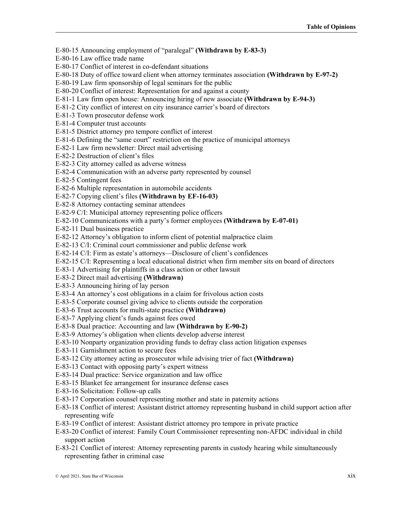E-80-15 Announcing employment of "paralegal" **(Withdrawn by E-83-3)**

E-80-16 Law office trade name

E-80-17 Conflict of interest in co-defendant situations

E-80-18 Duty of office toward client when attorney terminates association **(Withdrawn by E-97-2)**

E-80-19 Law firm sponsorship of legal seminars for the public

E-80-20 Conflict of interest: Representation for and against a county

E-81-1 Law firm open house: Announcing hiring of new associate **(Withdrawn by E-94-3)**

E-81-2 City conflict of interest on city insurance carrier's board of directors

E-81-3 Town prosecutor defense work

E-81-4 Computer trust accounts

E-81-5 District attorney pro tempore conflict of interest

E-81-6 Defining the "same court" restriction on the practice of municipal attorneys

E-82-1 Law firm newsletter: Direct mail advertising

E-82-2 Destruction of client's files

E-82-3 City attorney called as adverse witness

E-82-4 Communication with an adverse party represented by counsel

E-82-5 Contingent fees

E-82-6 Multiple representation in automobile accidents

E-82-7 Copying client's files **(Withdrawn by EF-16-03)**

E-82-8 Attorney contacting seminar attendees

E-82-9 C/I: Municipal attorney representing police officers

E-82-10 Communications with a party's former employees **(Withdrawn by E-07-01)**

E-82-11 Dual business practice

E-82-12 Attorney's obligation to inform client of potential malpractice claim

E-82-13 C/I: Criminal court commissioner and public defense work

E-82-14 C/I: Firm as estate's attorneys—Disclosure of client's confidences

E-82-15 C/I: Representing a local educational district when firm member sits on board of directors

E-83-1 Advertising for plaintiffs in a class action or other lawsuit

E-83-2 Direct mail advertising **(Withdrawn)**

E-83-3 Announcing hiring of lay person

E-83-4 An attorney's cost obligations in a claim for frivolous action costs

E-83-5 Corporate counsel giving advice to clients outside the corporation

E-83-6 Trust accounts for multi-state practice **(Withdrawn)**

E-83-7 Applying client's funds against fees owed

E-83-8 Dual practice: Accounting and law **(Withdrawn by E-90-2)**

E-83-9 Attorney's obligation when clients develop adverse interest

E-83-10 Nonparty organization providing funds to defray class action litigation expenses

E-83-11 Garnishment action to secure fees

E-83-12 City attorney acting as prosecutor while advising trier of fact **(Withdrawn)**

E-83-13 Contact with opposing party's expert witness

E-83-14 Dual practice: Service organization and law office

E-83-15 Blanket fee arrangement for insurance defense cases

E-83-16 Solicitation: Follow-up calls

E-83-17 Corporation counsel representing mother and state in paternity actions

E-83-18 Conflict of interest: Assistant district attorney representing husband in child support action after representing wife

E-83-19 Conflict of interest: Assistant district attorney pro tempore in private practice

E-83-20 Conflict of interest: Family Court Commissioner representing non-AFDC individual in child support action

E-83-21 Conflict of interest: Attorney representing parents in custody hearing while simultaneously representing father in criminal case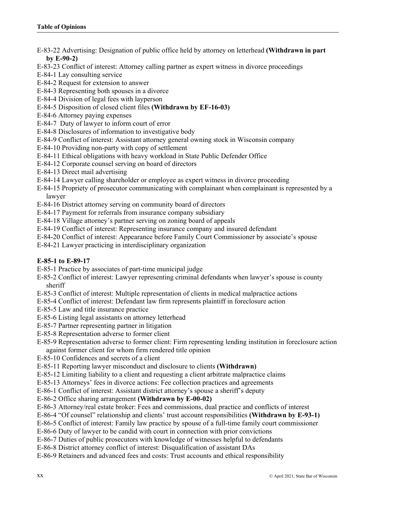- E-83-22 Advertising: Designation of public office held by attorney on letterhead **(Withdrawn in part by E-90-2)**
- E-83-23 Conflict of interest: Attorney calling partner as expert witness in divorce proceedings
- E-84-1 Lay consulting service
- E-84-2 Request for extension to answer
- E-84-3 Representing both spouses in a divorce
- E-84-4 Division of legal fees with layperson
- E-84-5 Disposition of closed client files **(Withdrawn by EF-16-03)**
- E-84-6 Attorney paying expenses
- E-84-7 Duty of lawyer to inform court of error
- E-84-8 Disclosures of information to investigative body
- E-84-9 Conflict of interest: Assistant attorney general owning stock in Wisconsin company
- E-84-10 Providing non-party with copy of settlement
- E-84-11 Ethical obligations with heavy workload in State Public Defender Office
- E-84-12 Corporate counsel serving on board of directors
- E-84-13 Direct mail advertising
- E-84-14 Lawyer calling shareholder or employee as expert witness in divorce proceeding
- E-84-15 Propriety of prosecutor communicating with complainant when complainant is represented by a lawyer
- E-84-16 District attorney serving on community board of directors
- E-84-17 Payment for referrals from insurance company subsidiary
- E-84-18 Village attorney's partner serving on zoning board of appeals
- E-84-19 Conflict of interest: Representing insurance company and insured defendant
- E-84-20 Conflict of interest: Appearance before Family Court Commissioner by associate's spouse
- E-84-21 Lawyer practicing in interdisciplinary organization

# **E-85-1 to E-89-17**

- E-85-1 Practice by associates of part-time municipal judge
- E-85-2 Conflict of interest: Lawyer representing criminal defendants when lawyer's spouse is county sheriff
- E-85-3 Conflict of interest: Multiple representation of clients in medical malpractice actions
- E-85-4 Conflict of interest: Defendant law firm represents plaintiff in foreclosure action
- E-85-5 Law and title insurance practice
- E-85-6 Listing legal assistants on attorney letterhead
- E-85-7 Partner representing partner in litigation
- E-85-8 Representation adverse to former client
- E-85-9 Representation adverse to former client: Firm representing lending institution in foreclosure action against former client for whom firm rendered title opinion
- E-85-10 Confidences and secrets of a client
- E-85-11 Reporting lawyer misconduct and disclosure to clients **(Withdrawn)**
- E-85-12 Limiting liability to a client and requesting a client arbitrate malpractice claims
- E-85-13 Attorneys' fees in divorce actions: Fee collection practices and agreements
- E-86-1 Conflict of interest: Assistant district attorney's spouse a sheriff's deputy
- E-86-2 Office sharing arrangement **(Withdrawn by E-00-02)**
- E-86-3 Attorney/real estate broker: Fees and commissions, dual practice and conflicts of interest
- E-86-4 "Of counsel" relationship and clients' trust account responsibilities **(Withdrawn by E-93-1)**
- E-86-5 Conflict of interest: Family law practice by spouse of a full-time family court commissioner
- E-86-6 Duty of lawyer to be candid with court in connection with prior convictions
- E-86-7 Duties of public prosecutors with knowledge of witnesses helpful to defendants
- E-86-8 District attorney conflict of interest: Disqualification of assistant DAs
- E-86-9 Retainers and advanced fees and costs: Trust accounts and ethical responsibility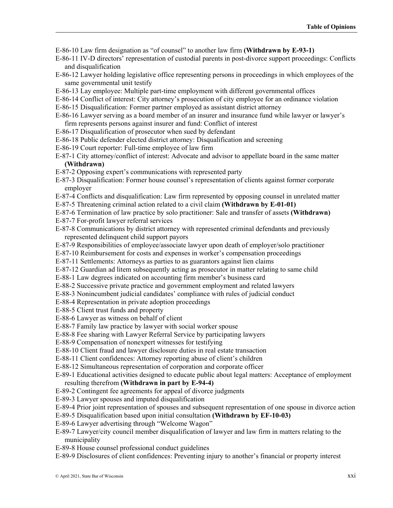E-86-10 Law firm designation as "of counsel" to another law firm **(Withdrawn by E-93-1)**

- E-86-11 IV-D directors' representation of custodial parents in post-divorce support proceedings: Conflicts and disqualification
- E-86-12 Lawyer holding legislative office representing persons in proceedings in which employees of the same governmental unit testify
- E-86-13 Lay employee: Multiple part-time employment with different governmental offices
- E-86-14 Conflict of interest: City attorney's prosecution of city employee for an ordinance violation
- E-86-15 Disqualification: Former partner employed as assistant district attorney
- E-86-16 Lawyer serving as a board member of an insurer and insurance fund while lawyer or lawyer's firm represents persons against insurer and fund: Conflict of interest
- E-86-17 Disqualification of prosecutor when sued by defendant
- E-86-18 Public defender elected district attorney: Disqualification and screening
- E-86-19 Court reporter: Full-time employee of law firm
- E-87-1 City attorney/conflict of interest: Advocate and advisor to appellate board in the same matter **(Withdrawn)**
- E-87-2 Opposing expert's communications with represented party
- E-87-3 Disqualification: Former house counsel's representation of clients against former corporate employer
- E-87-4 Conflicts and disqualification: Law firm represented by opposing counsel in unrelated matter
- E-87-5 Threatening criminal action related to a civil claim **(Withdrawn by E-01-01)**
- E-87-6 Termination of law practice by solo practitioner: Sale and transfer of assets **(Withdrawn)**
- E-87-7 For-profit lawyer referral services
- E-87-8 Communications by district attorney with represented criminal defendants and previously represented delinquent child support payors
- E-87-9 Responsibilities of employee/associate lawyer upon death of employer/solo practitioner
- E-87-10 Reimbursement for costs and expenses in worker's compensation proceedings
- E-87-11 Settlements: Attorneys as parties to as guarantors against lien claims
- E-87-12 Guardian ad litem subsequently acting as prosecutor in matter relating to same child
- E-88-1 Law degrees indicated on accounting firm member's business card
- E-88-2 Successive private practice and government employment and related lawyers
- E-88-3 Nonincumbent judicial candidates' compliance with rules of judicial conduct
- E-88-4 Representation in private adoption proceedings
- E-88-5 Client trust funds and property
- E-88-6 Lawyer as witness on behalf of client
- E-88-7 Family law practice by lawyer with social worker spouse
- E-88-8 Fee sharing with Lawyer Referral Service by participating lawyers
- E-88-9 Compensation of nonexpert witnesses for testifying
- E-88-10 Client fraud and lawyer disclosure duties in real estate transaction
- E-88-11 Client confidences: Attorney reporting abuse of client's children
- E-88-12 Simultaneous representation of corporation and corporate officer
- E-89-1 Educational activities designed to educate public about legal matters: Acceptance of employment resulting therefrom **(Withdrawn in part by E-94-4)**
- E-89-2 Contingent fee agreements for appeal of divorce judgments
- E-89-3 Lawyer spouses and imputed disqualification
- E-89-4 Prior joint representation of spouses and subsequent representation of one spouse in divorce action
- E-89-5 Disqualification based upon initial consultation **(Withdrawn by EF-10-03)**
- E-89-6 Lawyer advertising through "Welcome Wagon"
- E-89-7 Lawyer/city council member disqualification of lawyer and law firm in matters relating to the municipality
- E-89-8 House counsel professional conduct guidelines
- E-89-9 Disclosures of client confidences: Preventing injury to another's financial or property interest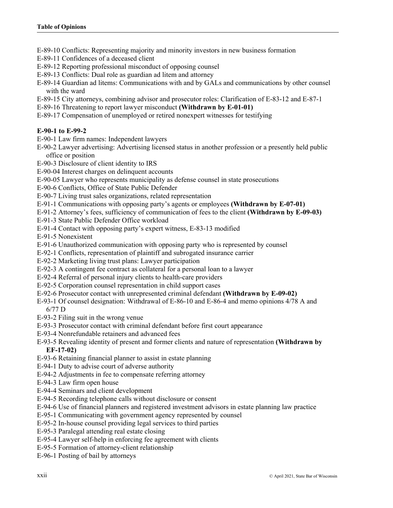- E-89-10 Conflicts: Representing majority and minority investors in new business formation
- E-89-11 Confidences of a deceased client
- E-89-12 Reporting professional misconduct of opposing counsel
- E-89-13 Conflicts: Dual role as guardian ad litem and attorney
- E-89-14 Guardian ad litems: Communications with and by GALs and communications by other counsel with the ward
- E-89-15 City attorneys, combining advisor and prosecutor roles: Clarification of E-83-12 and E-87-1
- E-89-16 Threatening to report lawyer misconduct **(Withdrawn by E-01-01)**
- E-89-17 Compensation of unemployed or retired nonexpert witnesses for testifying

# **E-90-1 to E-99-2**

- E-90-1 Law firm names: Independent lawyers
- E-90-2 Lawyer advertising: Advertising licensed status in another profession or a presently held public office or position
- E-90-3 Disclosure of client identity to IRS
- E-90-04 Interest charges on delinquent accounts
- E-90-05 Lawyer who represents municipality as defense counsel in state prosecutions
- E-90-6 Conflicts, Office of State Public Defender
- E-90-7 Living trust sales organizations, related representation
- E-91-1 Communications with opposing party's agents or employees **(Withdrawn by E-07-01)**
- E-91-2 Attorney's fees, sufficiency of communication of fees to the client **(Withdrawn by E-09-03)**
- E-91-3 State Public Defender Office workload
- E-91-4 Contact with opposing party's expert witness, E-83-13 modified
- E-91-5 Nonexistent
- E-91-6 Unauthorized communication with opposing party who is represented by counsel
- E-92-1 Conflicts, representation of plaintiff and subrogated insurance carrier
- E-92-2 Marketing living trust plans: Lawyer participation
- E-92-3 A contingent fee contract as collateral for a personal loan to a lawyer
- E-92-4 Referral of personal injury clients to health-care providers
- E-92-5 Corporation counsel representation in child support cases
- E-92-6 Prosecutor contact with unrepresented criminal defendant **(Withdrawn by E-09-02)**
- E-93-1 Of counsel designation: Withdrawal of E-86-10 and E-86-4 and memo opinions 4/78 A and 6/77 D
- E-93-2 Filing suit in the wrong venue
- E-93-3 Prosecutor contact with criminal defendant before first court appearance
- E-93-4 Nonrefundable retainers and advanced fees
- E-93-5 Revealing identity of present and former clients and nature of representation **(Withdrawn by EF-17-02)**
- E-93-6 Retaining financial planner to assist in estate planning
- E-94-1 Duty to advise court of adverse authority
- E-94-2 Adjustments in fee to compensate referring attorney
- E-94-3 Law firm open house
- E-94-4 Seminars and client development
- E-94-5 Recording telephone calls without disclosure or consent
- E-94-6 Use of financial planners and registered investment advisors in estate planning law practice
- E-95-1 Communicating with government agency represented by counsel
- E-95-2 In-house counsel providing legal services to third parties
- E-95-3 Paralegal attending real estate closing
- E-95-4 Lawyer self-help in enforcing fee agreement with clients
- E-95-5 Formation of attorney-client relationship
- E-96-1 Posting of bail by attorneys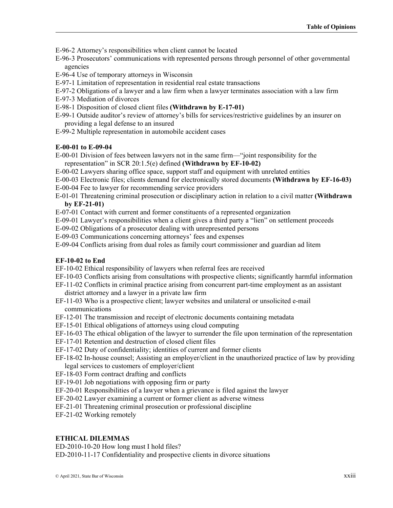E-96-2 Attorney's responsibilities when client cannot be located

E-96-3 Prosecutors' communications with represented persons through personnel of other governmental agencies

- E-96-4 Use of temporary attorneys in Wisconsin
- E-97-1 Limitation of representation in residential real estate transactions
- E-97-2 Obligations of a lawyer and a law firm when a lawyer terminates association with a law firm
- E-97-3 Mediation of divorces
- E-98-1 Disposition of closed client files **(Withdrawn by E-17-01)**
- E-99-1 Outside auditor's review of attorney's bills for services/restrictive guidelines by an insurer on providing a legal defense to an insured
- E-99-2 Multiple representation in automobile accident cases

#### **E-00-01 to E-09-04**

- E-00-01 Division of fees between lawyers not in the same firm—"joint responsibility for the representation" in SCR 20:1.5(e) defined **(Withdrawn by EF-10-02)**
- E-00-02 Lawyers sharing office space, support staff and equipment with unrelated entities
- E-00-03 Electronic files; clients demand for electronically stored documents **(Withdrawn by EF-16-03)**
- E-00-04 Fee to lawyer for recommending service providers
- E-01-01 Threatening criminal prosecution or disciplinary action in relation to a civil matter **(Withdrawn by EF-21-01)**
- E-07-01 Contact with current and former constituents of a represented organization
- E-09-01 Lawyer's responsibilities when a client gives a third party a "lien" on settlement proceeds
- E-09-02 Obligations of a prosecutor dealing with unrepresented persons
- E-09-03 Communications concerning attorneys' fees and expenses
- E-09-04 Conflicts arising from dual roles as family court commissioner and guardian ad litem

#### **EF-10-02 to End**

- EF-10-02 Ethical responsibility of lawyers when referral fees are received
- EF-10-03 Conflicts arising from consultations with prospective clients; significantly harmful information
- EF-11-02 Conflicts in criminal practice arising from concurrent part-time employment as an assistant district attorney and a lawyer in a private law firm
- EF-11-03 Who is a prospective client; lawyer websites and unilateral or unsolicited e-mail communications
- EF-12-01 The transmission and receipt of electronic documents containing metadata
- EF-15-01 Ethical obligations of attorneys using cloud computing
- EF-16-03 The ethical obligation of the lawyer to surrender the file upon termination of the representation
- EF-17-01 Retention and destruction of closed client files
- EF-17-02 Duty of confidentiality; identities of current and former clients
- EF-18-02 In-house counsel; Assisting an employer/client in the unauthorized practice of law by providing legal services to customers of employer/client
- EF-18-03 Form contract drafting and conflicts
- EF-19-01 Job negotiations with opposing firm or party
- EF-20-01 Responsibilities of a lawyer when a grievance is filed against the lawyer
- EF-20-02 Lawyer examining a current or former client as adverse witness
- EF-21-01 Threatening criminal prosecution or professional discipline
- EF-21-02 Working remotely

### **ETHICAL DILEMMAS**

ED-2010-10-20 How long must I hold files?

ED-2010-11-17 Confidentiality and prospective clients in divorce situations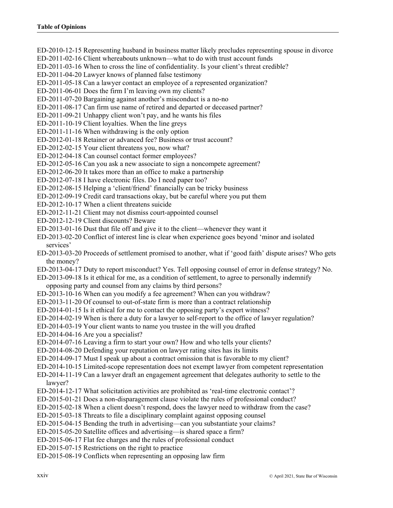ED-2010-12-15 Representing husband in business matter likely precludes representing spouse in divorce ED-2011-02-16 Client whereabouts unknown—what to do with trust account funds ED-2011-03-16 When to cross the line of confidentiality. Is your client's threat credible? ED-2011-04-20 Lawyer knows of planned false testimony ED-2011-05-18 Can a lawyer contact an employee of a represented organization? ED-2011-06-01 Does the firm I'm leaving own my clients? ED-2011-07-20 Bargaining against another's misconduct is a no-no ED-2011-08-17 Can firm use name of retired and departed or deceased partner? ED-2011-09-21 Unhappy client won't pay, and he wants his files ED-2011-10-19 Client loyalties. When the line greys ED-2011-11-16 When withdrawing is the only option ED-2012-01-18 Retainer or advanced fee? Business or trust account? ED-2012-02-15 Your client threatens you, now what? ED-2012-04-18 Can counsel contact former employees? ED-2012-05-16 Can you ask a new associate to sign a noncompete agreement? ED-2012-06-20 It takes more than an office to make a partnership ED-2012-07-18 I have electronic files. Do I need paper too? ED-2012-08-15 Helping a 'client/friend' financially can be tricky business ED-2012-09-19 Credit card transactions okay, but be careful where you put them ED-2012-10-17 When a client threatens suicide ED-2012-11-21 Client may not dismiss court-appointed counsel ED-2012-12-19 Client discounts? Beware ED-2013-01-16 Dust that file off and give it to the client—whenever they want it ED-2013-02-20 Conflict of interest line is clear when experience goes beyond 'minor and isolated services' ED-2013-03-20 Proceeds of settlement promised to another, what if 'good faith' dispute arises? Who gets the money? ED-2013-04-17 Duty to report misconduct? Yes. Tell opposing counsel of error in defense strategy? No. ED-2013-09-18 Is it ethical for me, as a condition of settlement, to agree to personally indemnify opposing party and counsel from any claims by third persons? ED-2013-10-16 When can you modify a fee agreement? When can you withdraw? ED-2013-11-20 Of counsel to out-of-state firm is more than a contract relationship ED-2014-01-15 Is it ethical for me to contact the opposing party's expert witness? ED-2014-02-19 When is there a duty for a lawyer to self-report to the office of lawyer regulation? ED-2014-03-19 Your client wants to name you trustee in the will you drafted ED-2014-04-16 Are you a specialist? ED-2014-07-16 Leaving a firm to start your own? How and who tells your clients? ED-2014-08-20 Defending your reputation on lawyer rating sites has its limits ED-2014-09-17 Must I speak up about a contract omission that is favorable to my client? ED-2014-10-15 Limited-scope representation does not exempt lawyer from competent representation ED-2014-11-19 Can a lawyer draft an engagement agreement that delegates authority to settle to the lawyer? ED-2014-12-17 What solicitation activities are prohibited as 'real-time electronic contact'? ED-2015-01-21 Does a non-disparagement clause violate the rules of professional conduct? ED-2015-02-18 When a client doesn't respond, does the lawyer need to withdraw from the case? ED-2015-03-18 Threats to file a disciplinary complaint against opposing counsel ED-2015-04-15 Bending the truth in advertising—can you substantiate your claims? ED-2015-05-20 Satellite offices and advertising—is shared space a firm? ED-2015-06-17 Flat fee charges and the rules of professional conduct ED-2015-07-15 Restrictions on the right to practice

ED-2015-08-19 Conflicts when representing an opposing law firm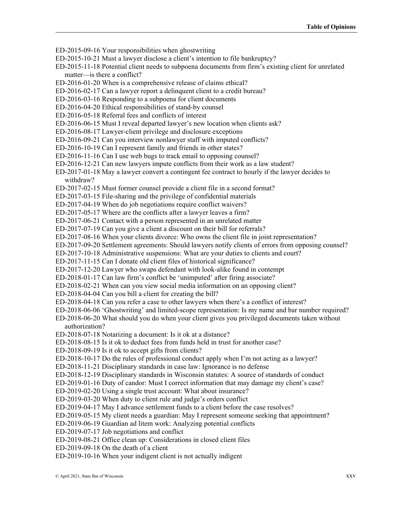ED-2015-09-16 Your responsibilities when ghostwriting

- ED-2015-10-21 Must a lawyer disclose a client's intention to file bankruptcy?
- ED-2015-11-18 Potential client needs to subpoena documents from firm's existing client for unrelated matter—is there a conflict?
- ED-2016-01-20 When is a comprehensive release of claims ethical?
- ED-2016-02-17 Can a lawyer report a delinquent client to a credit bureau?
- ED-2016-03-16 Responding to a subpoena for client documents
- ED-2016-04-20 Ethical responsibilities of stand-by counsel
- ED-2016-05-18 Referral fees and conflicts of interest
- ED-2016-06-15 Must I reveal departed lawyer's new location when clients ask?
- ED-2016-08-17 Lawyer-client privilege and disclosure exceptions
- ED-2016-09-21 Can you interview nonlawyer staff with imputed conflicts?
- ED-2016-10-19 Can I represent family and friends in other states?
- ED-2016-11-16 Can I use web bugs to track email to opposing counsel?
- ED-2016-12-21 Can new lawyers impute conflicts from their work as a law student?
- ED-2017-01-18 May a lawyer convert a contingent fee contract to hourly if the lawyer decides to withdraw?
- ED-2017-02-15 Must former counsel provide a client file in a second format?
- ED-2017-03-15 File-sharing and the privilege of confidential materials
- ED-2017-04-19 When do job negotiations require conflict waivers?
- ED-2017-05-17 Where are the conflicts after a lawyer leaves a firm?
- ED-2017-06-21 Contact with a person represented in an unrelated matter
- ED-2017-07-19 Can you give a client a discount on their bill for referrals?
- ED-2017-08-16 When your clients divorce: Who owns the client file in joint representation?
- ED-2017-09-20 Settlement agreements: Should lawyers notify clients of errors from opposing counsel?
- ED-2017-10-18 Administrative suspensions: What are your duties to clients and court?
- ED-2017-11-15 Can I donate old client files of historical significance?
- ED-2017-12-20 Lawyer who swaps defendant with look-alike found in contempt
- ED-2018-01-17 Can law firm's conflict be 'unimputed' after firing associate?
- ED-2018-02-21 When can you view social media information on an opposing client?
- ED-2018-04-04 Can you bill a client for creating the bill?
- ED-2018-04-18 Can you refer a case to other lawyers when there's a conflict of interest?
- ED-2018-06-06 'Ghostwriting' and limited-scope representation: Is my name and bar number required?
- ED-2018-06-20 What should you do when your client gives you privileged documents taken without authorization?
- ED-2018-07-18 Notarizing a document: Is it ok at a distance?
- ED-2018-08-15 Is it ok to deduct fees from funds held in trust for another case?
- ED-2018-09-19 Is it ok to accept gifts from clients?
- ED-2018-10-17 Do the rules of professional conduct apply when I'm not acting as a lawyer?
- ED-2018-11-21 Disciplinary standards in case law: Ignorance is no defense
- ED-2018-12-19 Disciplinary standards in Wisconsin statutes: A source of standards of conduct
- ED-2019-01-16 Duty of candor: Must I correct information that may damage my client's case?
- ED-2019-02-20 Using a single trust account: What about insurance?
- ED-2019-03-20 When duty to client rule and judge's orders conflict
- ED-2019-04-17 May I advance settlement funds to a client before the case resolves?
- ED-2019-05-15 My client needs a guardian: May I represent someone seeking that appointment?
- ED-2019-06-19 Guardian ad litem work: Analyzing potential conflicts
- ED-2019-07-17 Job negotiations and conflict
- ED-2019-08-21 Office clean up: Considerations in closed client files
- ED-2019-09-18 On the death of a client
- ED-2019-10-16 When your indigent client is not actually indigent